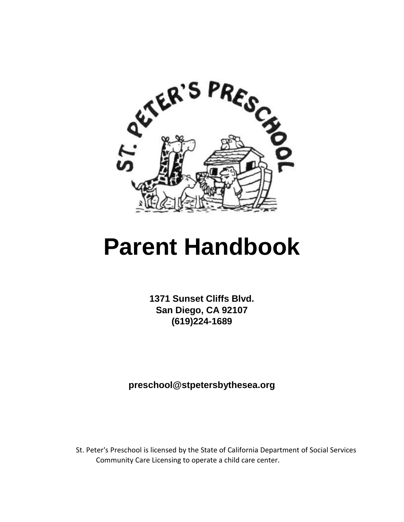

# **Parent Handbook**

**1371 Sunset Cliffs Blvd. San Diego, CA 92107 (619)224-1689** 

**preschool@stpetersbythesea.org** 

St. Peter's Preschool is licensed by the State of California Department of Social Services Community Care Licensing to operate a child care center.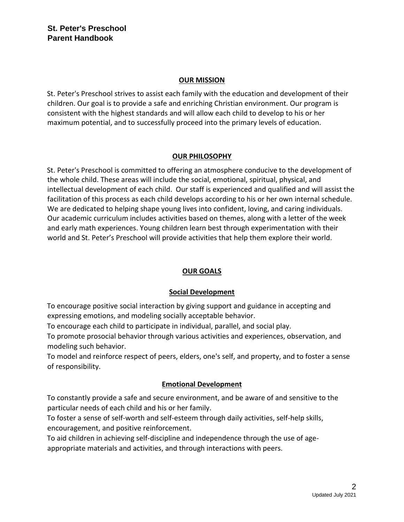#### **OUR MISSION**

St. Peter's Preschool strives to assist each family with the education and development of their children. Our goal is to provide a safe and enriching Christian environment. Our program is consistent with the highest standards and will allow each child to develop to his or her maximum potential, and to successfully proceed into the primary levels of education.

#### **OUR PHILOSOPHY**

St. Peter's Preschool is committed to offering an atmosphere conducive to the development of the whole child. These areas will include the social, emotional, spiritual, physical, and intellectual development of each child. Our staff is experienced and qualified and will assist the facilitation of this process as each child develops according to his or her own internal schedule. We are dedicated to helping shape young lives into confident, loving, and caring individuals. Our academic curriculum includes activities based on themes, along with a letter of the week and early math experiences. Young children learn best through experimentation with their world and St. Peter's Preschool will provide activities that help them explore their world.

#### **OUR GOALS**

#### **Social Development**

To encourage positive social interaction by giving support and guidance in accepting and expressing emotions, and modeling socially acceptable behavior.

To encourage each child to participate in individual, parallel, and social play.

To promote prosocial behavior through various activities and experiences, observation, and modeling such behavior.

To model and reinforce respect of peers, elders, one's self, and property, and to foster a sense of responsibility.

#### **Emotional Development**

To constantly provide a safe and secure environment, and be aware of and sensitive to the particular needs of each child and his or her family.

To foster a sense of self-worth and self-esteem through daily activities, self-help skills, encouragement, and positive reinforcement.

To aid children in achieving self-discipline and independence through the use of ageappropriate materials and activities, and through interactions with peers.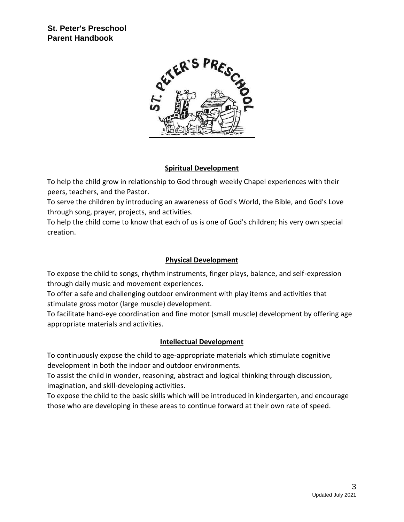

#### **Spiritual Development**

To help the child grow in relationship to God through weekly Chapel experiences with their peers, teachers, and the Pastor.

To serve the children by introducing an awareness of God's World, the Bible, and God's Love through song, prayer, projects, and activities.

To help the child come to know that each of us is one of God's children; his very own special creation.

#### **Physical Development**

To expose the child to songs, rhythm instruments, finger plays, balance, and self-expression through daily music and movement experiences.

To offer a safe and challenging outdoor environment with play items and activities that stimulate gross motor (large muscle) development.

To facilitate hand-eye coordination and fine motor (small muscle) development by offering age appropriate materials and activities.

#### **Intellectual Development**

To continuously expose the child to age-appropriate materials which stimulate cognitive development in both the indoor and outdoor environments.

To assist the child in wonder, reasoning, abstract and logical thinking through discussion, imagination, and skill-developing activities.

To expose the child to the basic skills which will be introduced in kindergarten, and encourage those who are developing in these areas to continue forward at their own rate of speed.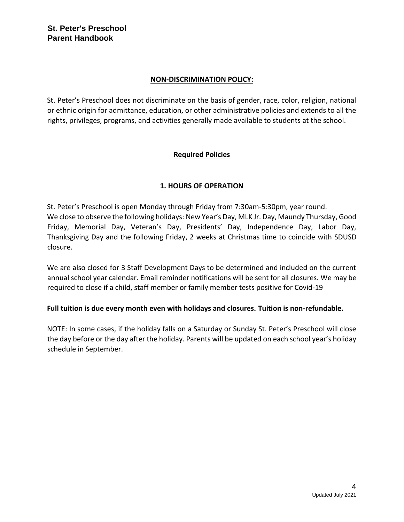## **NON-DISCRIMINATION POLICY:**

St. Peter's Preschool does not discriminate on the basis of gender, race, color, religion, national or ethnic origin for admittance, education, or other administrative policies and extends to all the rights, privileges, programs, and activities generally made available to students at the school.

## **Required Policies**

#### **1. HOURS OF OPERATION**

St. Peter's Preschool is open Monday through Friday from 7:30am-5:30pm, year round. We close to observe the following holidays: New Year's Day, MLK Jr. Day, Maundy Thursday, Good Friday, Memorial Day, Veteran's Day, Presidents' Day, Independence Day, Labor Day, Thanksgiving Day and the following Friday, 2 weeks at Christmas time to coincide with SDUSD closure.

We are also closed for 3 Staff Development Days to be determined and included on the current annual school year calendar. Email reminder notifications will be sent for all closures. We may be required to close if a child, staff member or family member tests positive for Covid-19

#### **Full tuition is due every month even with holidays and closures. Tuition is non-refundable.**

NOTE: In some cases, if the holiday falls on a Saturday or Sunday St. Peter's Preschool will close the day before or the day after the holiday. Parents will be updated on each school year's holiday schedule in September.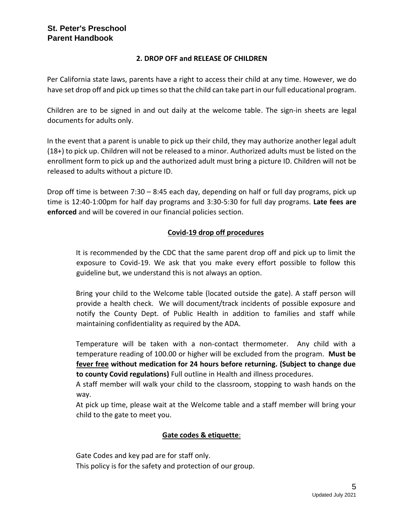#### **2. DROP OFF and RELEASE OF CHILDREN**

Per California state laws, parents have a right to access their child at any time. However, we do have set drop off and pick up times so that the child can take part in our full educational program.

Children are to be signed in and out daily at the welcome table. The sign-in sheets are legal documents for adults only.

In the event that a parent is unable to pick up their child, they may authorize another legal adult (18+) to pick up. Children will not be released to a minor. Authorized adults must be listed on the enrollment form to pick up and the authorized adult must bring a picture ID. Children will not be released to adults without a picture ID.

Drop off time is between 7:30 – 8:45 each day, depending on half or full day programs, pick up time is 12:40-1:00pm for half day programs and 3:30-5:30 for full day programs. **Late fees are enforced** and will be covered in our financial policies section.

#### **Covid-19 drop off procedures**

It is recommended by the CDC that the same parent drop off and pick up to limit the exposure to Covid-19. We ask that you make every effort possible to follow this guideline but, we understand this is not always an option.

Bring your child to the Welcome table (located outside the gate). A staff person will provide a health check. We will document/track incidents of possible exposure and notify the County Dept. of Public Health in addition to families and staff while maintaining confidentiality as required by the ADA.

Temperature will be taken with a non-contact thermometer. Any child with a temperature reading of 100.00 or higher will be excluded from the program. **Must be fever free without medication for 24 hours before returning. (Subject to change due to county Covid regulations)** Full outline in Health and illness procedures.

A staff member will walk your child to the classroom, stopping to wash hands on the way.

At pick up time, please wait at the Welcome table and a staff member will bring your child to the gate to meet you.

#### **Gate codes & etiquette**:

Gate Codes and key pad are for staff only. This policy is for the safety and protection of our group.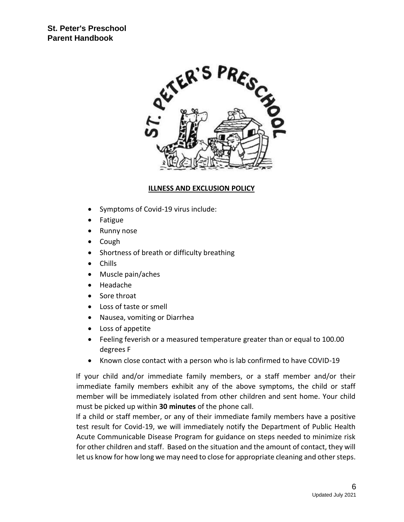

## **ILLNESS AND EXCLUSION POLICY**

- Symptoms of Covid-19 virus include:
- Fatigue
- Runny nose
- Cough
- Shortness of breath or difficulty breathing
- Chills
- Muscle pain/aches
- Headache
- Sore throat
- Loss of taste or smell
- Nausea, vomiting or Diarrhea
- Loss of appetite
- Feeling feverish or a measured temperature greater than or equal to 100.00 degrees F
- Known close contact with a person who is lab confirmed to have COVID-19

If your child and/or immediate family members, or a staff member and/or their immediate family members exhibit any of the above symptoms, the child or staff member will be immediately isolated from other children and sent home. Your child must be picked up within **30 minutes** of the phone call.

If a child or staff member, or any of their immediate family members have a positive test result for Covid-19, we will immediately notify the Department of Public Health Acute Communicable Disease Program for guidance on steps needed to minimize risk for other children and staff. Based on the situation and the amount of contact, they will let us know for how long we may need to close for appropriate cleaning and other steps.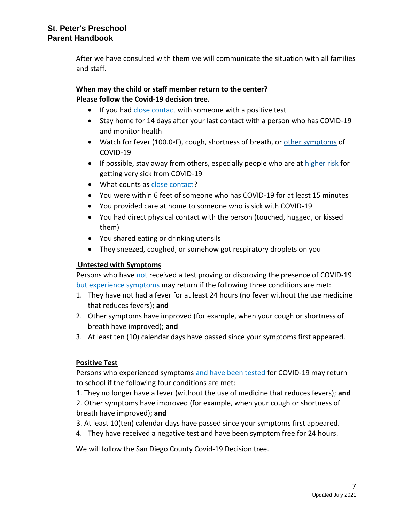After we have consulted with them we will communicate the situation with all families and staff.

# **When may the child or staff member return to the center? Please follow the Covid-19 decision tree.**

- If you had close contact with someone with a positive test
- Stay home for 14 days after your last contact with a person who has COVID-19 and monitor health
- Watch for fever (100.0◦F), cough, shortness of breath, or [other symptoms](https://www.cdc.gov/coronavirus/2019-ncov/symptoms-testing/symptoms.html) of COVID-19
- If possible, stay away from others, especially people who are at [higher risk](https://www.cdc.gov/coronavirus/2019-ncov/need-extra-precautions/people-at-higher-risk.html) for getting very sick from COVID-19
- What counts as close contact?
- You were within 6 feet of someone who has COVID-19 for at least 15 minutes
- You provided care at home to someone who is sick with COVID-19
- You had direct physical contact with the person (touched, hugged, or kissed them)
- You shared eating or drinking utensils
- They sneezed, coughed, or somehow got respiratory droplets on you

#### **Untested with Symptoms**

Persons who have not received a test proving or disproving the presence of COVID-19 but experience symptoms may return if the following three conditions are met:

- 1. They have not had a fever for at least 24 hours (no fever without the use medicine that reduces fevers); **and**
- 2. Other symptoms have improved (for example, when your cough or shortness of breath have improved); **and**
- 3. At least ten (10) calendar days have passed since your symptoms first appeared.

#### **Positive Test**

Persons who experienced symptoms and have been tested for COVID-19 may return to school if the following four conditions are met:

1. They no longer have a fever (without the use of medicine that reduces fevers); **and** 

2. Other symptoms have improved (for example, when your cough or shortness of breath have improved); **and** 

- 3. At least 10(ten) calendar days have passed since your symptoms first appeared.
- 4. They have received a negative test and have been symptom free for 24 hours.

We will follow the San Diego County Covid-19 Decision tree.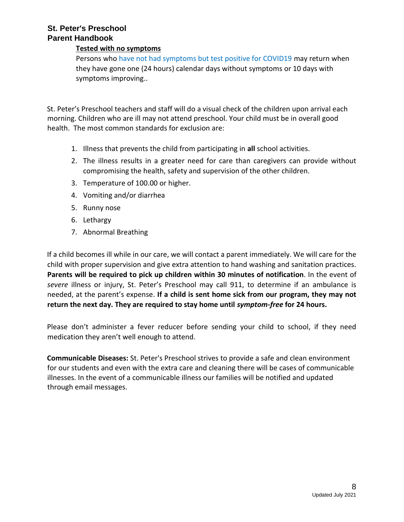#### **Tested with no symptoms**

Persons who have not had symptoms but test positive for COVID19 may return when they have gone one (24 hours) calendar days without symptoms or 10 days with symptoms improving..

St. Peter's Preschool teachers and staff will do a visual check of the children upon arrival each morning. Children who are ill may not attend preschool. Your child must be in overall good health. The most common standards for exclusion are:

- 1. Illness that prevents the child from participating in **all** school activities.
- 2. The illness results in a greater need for care than caregivers can provide without compromising the health, safety and supervision of the other children.
- 3. Temperature of 100.00 or higher.
- 4. Vomiting and/or diarrhea
- 5. Runny nose
- 6. Lethargy
- 7. Abnormal Breathing

If a child becomes ill while in our care, we will contact a parent immediately. We will care for the child with proper supervision and give extra attention to hand washing and sanitation practices. **Parents will be required to pick up children within 30 minutes of notification**. In the event of *severe* illness or injury, St. Peter's Preschool may call 911, to determine if an ambulance is needed, at the parent's expense. **If a child is sent home sick from our program, they may not return the next day. They are required to stay home until** *symptom-free* **for 24 hours.** 

Please don't administer a fever reducer before sending your child to school, if they need medication they aren't well enough to attend.

**Communicable Diseases:** St. Peter's Preschool strives to provide a safe and clean environment for our students and even with the extra care and cleaning there will be cases of communicable illnesses. In the event of a communicable illness our families will be notified and updated through email messages.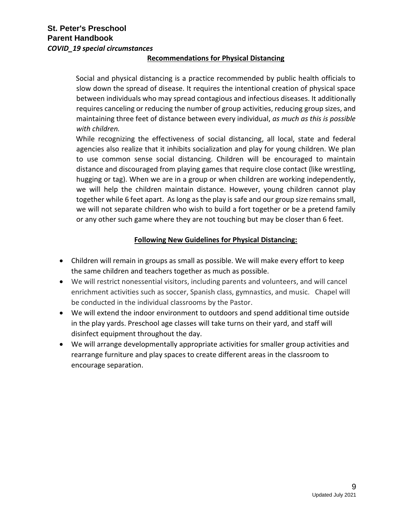#### **Recommendations for Physical Distancing**

Social and physical distancing is a practice recommended by public health officials to slow down the spread of disease. It requires the intentional creation of physical space between individuals who may spread contagious and infectious diseases. It additionally requires canceling or reducing the number of group activities, reducing group sizes, and maintaining three feet of distance between every individual, *as much as this is possible with children.*

While recognizing the effectiveness of social distancing, all local, state and federal agencies also realize that it inhibits socialization and play for young children. We plan to use common sense social distancing. Children will be encouraged to maintain distance and discouraged from playing games that require close contact (like wrestling, hugging or tag). When we are in a group or when children are working independently, we will help the children maintain distance. However, young children cannot play together while 6 feet apart. As long as the play is safe and our group size remains small, we will not separate children who wish to build a fort together or be a pretend family or any other such game where they are not touching but may be closer than 6 feet.

#### **Following New Guidelines for Physical Distancing:**

- Children will remain in groups as small as possible. We will make every effort to keep the same children and teachers together as much as possible.
- We will restrict nonessential visitors, including parents and volunteers, and will cancel enrichment activities such as soccer, Spanish class, gymnastics, and music. Chapel will be conducted in the individual classrooms by the Pastor.
- We will extend the indoor environment to outdoors and spend additional time outside in the play yards. Preschool age classes will take turns on their yard, and staff will disinfect equipment throughout the day.
- We will arrange developmentally appropriate activities for smaller group activities and rearrange furniture and play spaces to create different areas in the classroom to encourage separation.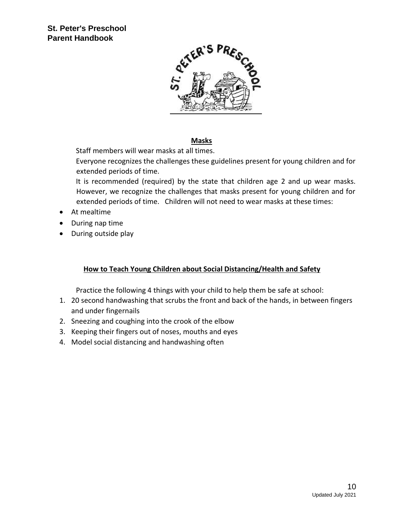

#### **Masks**

Staff members will wear masks at all times.

Everyone recognizes the challenges these guidelines present for young children and for extended periods of time.

It is recommended (required) by the state that children age 2 and up wear masks. However, we recognize the challenges that masks present for young children and for extended periods of time. Children will not need to wear masks at these times:

- At mealtime
- During nap time
- During outside play

#### **How to Teach Young Children about Social Distancing/Health and Safety**

Practice the following 4 things with your child to help them be safe at school:

- 1. 20 second handwashing that scrubs the front and back of the hands, in between fingers and under fingernails
- 2. Sneezing and coughing into the crook of the elbow
- 3. Keeping their fingers out of noses, mouths and eyes
- 4. Model social distancing and handwashing often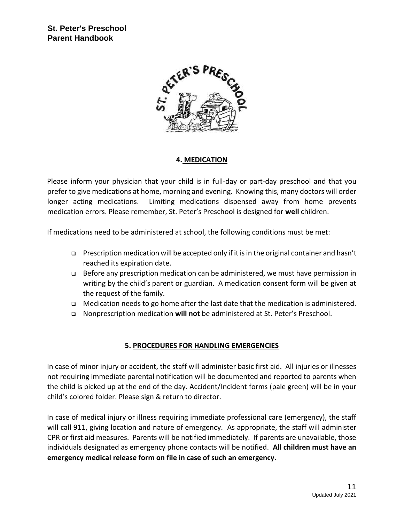

#### **4. MEDICATION**

Please inform your physician that your child is in full-day or part-day preschool and that you prefer to give medications at home, morning and evening. Knowing this, many doctors will order longer acting medications. Limiting medications dispensed away from home prevents medication errors. Please remember, St. Peter's Preschool is designed for **well** children.

If medications need to be administered at school, the following conditions must be met:

- Prescription medication will be accepted only if it is in the original container and hasn't reached its expiration date.
- Before any prescription medication can be administered, we must have permission in writing by the child's parent or guardian. A medication consent form will be given at the request of the family.
- $\Box$  Medication needs to go home after the last date that the medication is administered.
- Nonprescription medication **will not** be administered at St. Peter's Preschool.

#### **5. PROCEDURES FOR HANDLING EMERGENCIES**

In case of minor injury or accident, the staff will administer basic first aid. All injuries or illnesses not requiring immediate parental notification will be documented and reported to parents when the child is picked up at the end of the day. Accident/Incident forms (pale green) will be in your child's colored folder. Please sign & return to director.

In case of medical injury or illness requiring immediate professional care (emergency), the staff will call 911, giving location and nature of emergency. As appropriate, the staff will administer CPR or first aid measures. Parents will be notified immediately. If parents are unavailable, those individuals designated as emergency phone contacts will be notified. **All children must have an emergency medical release form on file in case of such an emergency.**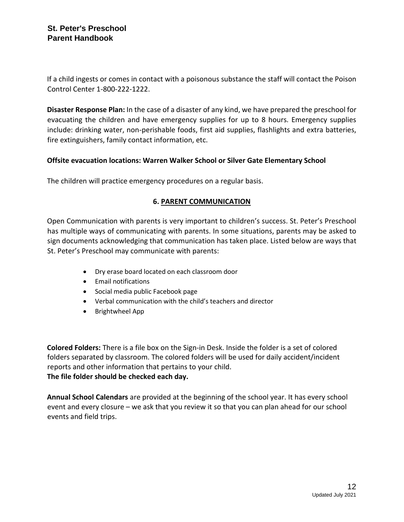If a child ingests or comes in contact with a poisonous substance the staff will contact the Poison Control Center 1-800-222-1222.

**Disaster Response Plan:** In the case of a disaster of any kind, we have prepared the preschool for evacuating the children and have emergency supplies for up to 8 hours. Emergency supplies include: drinking water, non-perishable foods, first aid supplies, flashlights and extra batteries, fire extinguishers, family contact information, etc.

#### **Offsite evacuation locations: Warren Walker School or Silver Gate Elementary School**

The children will practice emergency procedures on a regular basis.

#### **6. PARENT COMMUNICATION**

Open Communication with parents is very important to children's success. St. Peter's Preschool has multiple ways of communicating with parents. In some situations, parents may be asked to sign documents acknowledging that communication has taken place. Listed below are ways that St. Peter's Preschool may communicate with parents:

- Dry erase board located on each classroom door
- Email notifications
- Social media public Facebook page
- Verbal communication with the child's teachers and director
- Brightwheel App

**Colored Folders:** There is a file box on the Sign-in Desk. Inside the folder is a set of colored folders separated by classroom. The colored folders will be used for daily accident/incident reports and other information that pertains to your child. **The file folder should be checked each day.** 

**Annual School Calendars** are provided at the beginning of the school year. It has every school event and every closure – we ask that you review it so that you can plan ahead for our school events and field trips.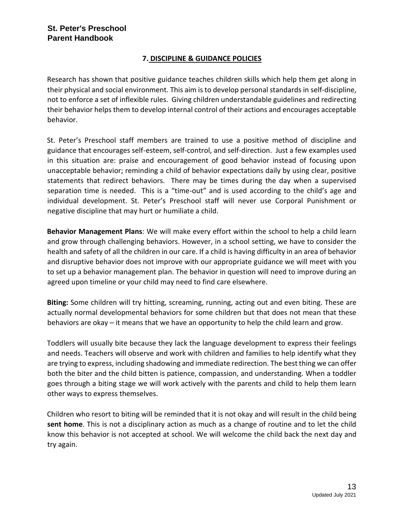#### **7. DISCIPLINE & GUIDANCE POLICIES**

Research has shown that positive guidance teaches children skills which help them get along in their physical and social environment. This aim is to develop personal standards in self-discipline, not to enforce a set of inflexible rules. Giving children understandable guidelines and redirecting their behavior helps them to develop internal control of their actions and encourages acceptable behavior.

St. Peter's Preschool staff members are trained to use a positive method of discipline and guidance that encourages self-esteem, self-control, and self-direction. Just a few examples used in this situation are: praise and encouragement of good behavior instead of focusing upon unacceptable behavior; reminding a child of behavior expectations daily by using clear, positive statements that redirect behaviors. There may be times during the day when a supervised separation time is needed. This is a "time-out" and is used according to the child's age and individual development. St. Peter's Preschool staff will never use Corporal Punishment or negative discipline that may hurt or humiliate a child.

**Behavior Management Plans**: We will make every effort within the school to help a child learn and grow through challenging behaviors. However, in a school setting, we have to consider the health and safety of all the children in our care. If a child is having difficulty in an area of behavior and disruptive behavior does not improve with our appropriate guidance we will meet with you to set up a behavior management plan. The behavior in question will need to improve during an agreed upon timeline or your child may need to find care elsewhere.

**Biting:** Some children will try hitting, screaming, running, acting out and even biting. These are actually normal developmental behaviors for some children but that does not mean that these behaviors are okay – it means that we have an opportunity to help the child learn and grow.

Toddlers will usually bite because they lack the language development to express their feelings and needs. Teachers will observe and work with children and families to help identify what they are trying to express, including shadowing and immediate redirection. The best thing we can offer both the biter and the child bitten is patience, compassion, and understanding. When a toddler goes through a biting stage we will work actively with the parents and child to help them learn other ways to express themselves.

Children who resort to biting will be reminded that it is not okay and will result in the child being **sent home**. This is not a disciplinary action as much as a change of routine and to let the child know this behavior is not accepted at school. We will welcome the child back the next day and try again.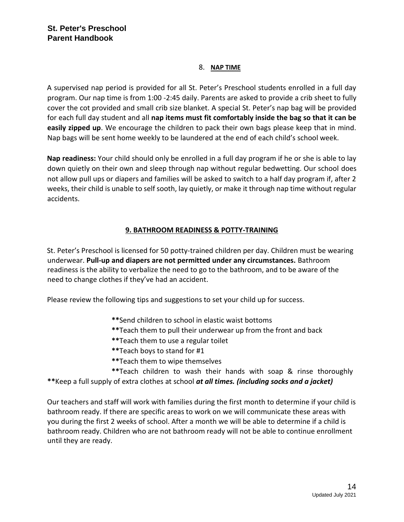#### 8. **NAP TIME**

A supervised nap period is provided for all St. Peter's Preschool students enrolled in a full day program. Our nap time is from 1:00 -2:45 daily. Parents are asked to provide a crib sheet to fully cover the cot provided and small crib size blanket. A special St. Peter's nap bag will be provided for each full day student and all **nap items must fit comfortably inside the bag so that it can be easily zipped up**. We encourage the children to pack their own bags please keep that in mind. Nap bags will be sent home weekly to be laundered at the end of each child's school week.

**Nap readiness:** Your child should only be enrolled in a full day program if he or she is able to lay down quietly on their own and sleep through nap without regular bedwetting. Our school does not allow pull ups or diapers and families will be asked to switch to a half day program if, after 2 weeks, their child is unable to self sooth, lay quietly, or make it through nap time without regular accidents.

#### **9. BATHROOM READINESS & POTTY-TRAINING**

St. Peter's Preschool is licensed for 50 potty-trained children per day. Children must be wearing underwear. **Pull-up and diapers are not permitted under any circumstances.** Bathroom readiness is the ability to verbalize the need to go to the bathroom, and to be aware of the need to change clothes if they've had an accident.

Please review the following tips and suggestions to set your child up for success.

- **\*\***Send children to school in elastic waist bottoms
- **\*\***Teach them to pull their underwear up from the front and back
- **\*\***Teach them to use a regular toilet
- **\*\***Teach boys to stand for #1
- **\*\***Teach them to wipe themselves

 **\*\***Teach children to wash their hands with soap & rinse thoroughly **\*\***Keep a full supply of extra clothes at school *at all times. (including socks and a jacket)*

Our teachers and staff will work with families during the first month to determine if your child is bathroom ready. If there are specific areas to work on we will communicate these areas with you during the first 2 weeks of school. After a month we will be able to determine if a child is bathroom ready. Children who are not bathroom ready will not be able to continue enrollment until they are ready.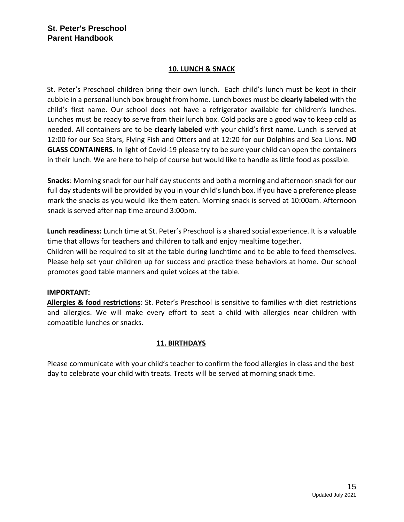#### **10. LUNCH & SNACK**

St. Peter's Preschool children bring their own lunch. Each child's lunch must be kept in their cubbie in a personal lunch box brought from home. Lunch boxes must be **clearly labeled** with the child's first name. Our school does not have a refrigerator available for children's lunches. Lunches must be ready to serve from their lunch box. Cold packs are a good way to keep cold as needed. All containers are to be **clearly labeled** with your child's first name. Lunch is served at 12:00 for our Sea Stars, Flying Fish and Otters and at 12:20 for our Dolphins and Sea Lions. **NO GLASS CONTAINERS**. In light of Covid-19 please try to be sure your child can open the containers in their lunch. We are here to help of course but would like to handle as little food as possible.

**Snacks**: Morning snack for our half day students and both a morning and afternoon snack for our full day students will be provided by you in your child's lunch box. If you have a preference please mark the snacks as you would like them eaten. Morning snack is served at 10:00am. Afternoon snack is served after nap time around 3:00pm.

**Lunch readiness:** Lunch time at St. Peter's Preschool is a shared social experience. It is a valuable time that allows for teachers and children to talk and enjoy mealtime together. Children will be required to sit at the table during lunchtime and to be able to feed themselves. Please help set your children up for success and practice these behaviors at home. Our school promotes good table manners and quiet voices at the table.

#### **IMPORTANT:**

**Allergies & food restrictions**: St. Peter's Preschool is sensitive to families with diet restrictions and allergies. We will make every effort to seat a child with allergies near children with compatible lunches or snacks.

#### **11. BIRTHDAYS**

Please communicate with your child's teacher to confirm the food allergies in class and the best day to celebrate your child with treats. Treats will be served at morning snack time.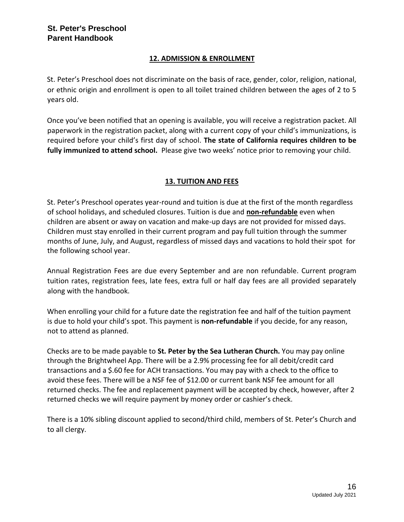#### **12. ADMISSION & ENROLLMENT**

St. Peter's Preschool does not discriminate on the basis of race, gender, color, religion, national, or ethnic origin and enrollment is open to all toilet trained children between the ages of 2 to 5 years old.

Once you've been notified that an opening is available, you will receive a registration packet. All paperwork in the registration packet, along with a current copy of your child's immunizations, is required before your child's first day of school. **The state of California requires children to be fully immunized to attend school.** Please give two weeks' notice prior to removing your child.

## **13. TUITION AND FEES**

St. Peter's Preschool operates year-round and tuition is due at the first of the month regardless of school holidays, and scheduled closures. Tuition is due and **non-refundable** even when children are absent or away on vacation and make-up days are not provided for missed days. Children must stay enrolled in their current program and pay full tuition through the summer months of June, July, and August, regardless of missed days and vacations to hold their spot for the following school year.

Annual Registration Fees are due every September and are non refundable. Current program tuition rates, registration fees, late fees, extra full or half day fees are all provided separately along with the handbook.

When enrolling your child for a future date the registration fee and half of the tuition payment is due to hold your child's spot. This payment is **non-refundable** if you decide, for any reason, not to attend as planned.

Checks are to be made payable to **St. Peter by the Sea Lutheran Church.** You may pay online through the Brightwheel App. There will be a 2.9% processing fee for all debit/credit card transactions and a \$.60 fee for ACH transactions. You may pay with a check to the office to avoid these fees. There will be a NSF fee of \$12.00 or current bank NSF fee amount for all returned checks. The fee and replacement payment will be accepted by check, however, after 2 returned checks we will require payment by money order or cashier's check.

There is a 10% sibling discount applied to second/third child, members of St. Peter's Church and to all clergy.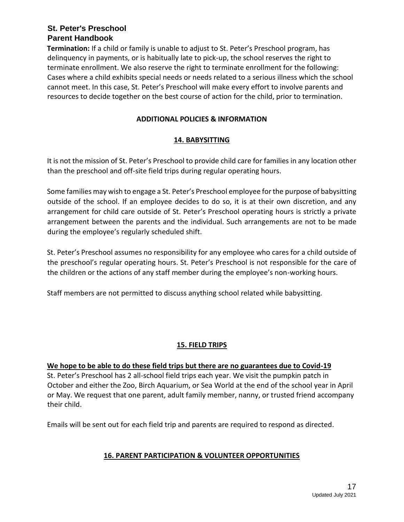**Termination:** If a child or family is unable to adjust to St. Peter's Preschool program, has delinquency in payments, or is habitually late to pick-up, the school reserves the right to terminate enrollment. We also reserve the right to terminate enrollment for the following: Cases where a child exhibits special needs or needs related to a serious illness which the school cannot meet. In this case, St. Peter's Preschool will make every effort to involve parents and resources to decide together on the best course of action for the child, prior to termination.

#### **ADDITIONAL POLICIES & INFORMATION**

#### **14. BABYSITTING**

It is not the mission of St. Peter's Preschool to provide child care for families in any location other than the preschool and off-site field trips during regular operating hours.

Some families may wish to engage a St. Peter's Preschool employee for the purpose of babysitting outside of the school. If an employee decides to do so, it is at their own discretion, and any arrangement for child care outside of St. Peter's Preschool operating hours is strictly a private arrangement between the parents and the individual. Such arrangements are not to be made during the employee's regularly scheduled shift.

St. Peter's Preschool assumes no responsibility for any employee who cares for a child outside of the preschool's regular operating hours. St. Peter's Preschool is not responsible for the care of the children or the actions of any staff member during the employee's non-working hours.

Staff members are not permitted to discuss anything school related while babysitting.

#### **15. FIELD TRIPS**

#### **We hope to be able to do these field trips but there are no guarantees due to Covid-19**

St. Peter's Preschool has 2 all-school field trips each year. We visit the pumpkin patch in October and either the Zoo, Birch Aquarium, or Sea World at the end of the school year in April or May. We request that one parent, adult family member, nanny, or trusted friend accompany their child.

Emails will be sent out for each field trip and parents are required to respond as directed.

#### **16. PARENT PARTICIPATION & VOLUNTEER OPPORTUNITIES**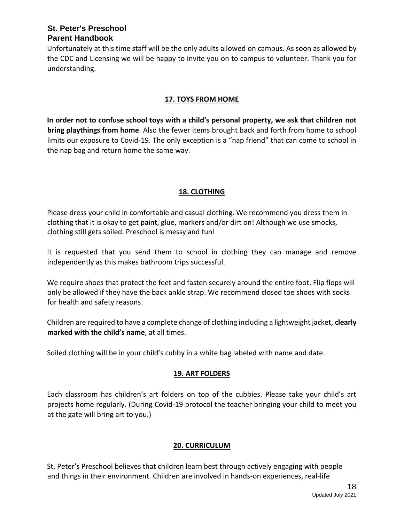Unfortunately at this time staff will be the only adults allowed on campus. As soon as allowed by the CDC and Licensing we will be happy to invite you on to campus to volunteer. Thank you for understanding.

## **17. TOYS FROM HOME**

**In order not to confuse school toys with a child's personal property, we ask that children not bring playthings from home**. Also the fewer items brought back and forth from home to school limits our exposure to Covid-19. The only exception is a "nap friend" that can come to school in the nap bag and return home the same way.

## **18. CLOTHING**

Please dress your child in comfortable and casual clothing. We recommend you dress them in clothing that it is okay to get paint, glue, markers and/or dirt on! Although we use smocks, clothing still gets soiled. Preschool is messy and fun!

It is requested that you send them to school in clothing they can manage and remove independently as this makes bathroom trips successful.

We require shoes that protect the feet and fasten securely around the entire foot. Flip flops will only be allowed if they have the back ankle strap. We recommend closed toe shoes with socks for health and safety reasons.

Children are required to have a complete change of clothing including a lightweight jacket, **clearly marked with the child's name**, at all times.

Soiled clothing will be in your child's cubby in a white bag labeled with name and date.

## **19. ART FOLDERS**

Each classroom has children's art folders on top of the cubbies. Please take your child's art projects home regularly. (During Covid-19 protocol the teacher bringing your child to meet you at the gate will bring art to you.)

## **20. CURRICULUM**

St. Peter's Preschool believes that children learn best through actively engaging with people and things in their environment. Children are involved in hands-on experiences, real-life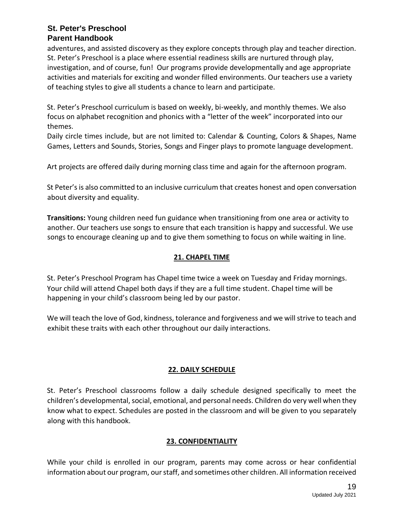adventures, and assisted discovery as they explore concepts through play and teacher direction. St. Peter's Preschool is a place where essential readiness skills are nurtured through play, investigation, and of course, fun! Our programs provide developmentally and age appropriate activities and materials for exciting and wonder filled environments. Our teachers use a variety of teaching styles to give all students a chance to learn and participate.

St. Peter's Preschool curriculum is based on weekly, bi-weekly, and monthly themes. We also focus on alphabet recognition and phonics with a "letter of the week" incorporated into our themes.

Daily circle times include, but are not limited to: Calendar & Counting, Colors & Shapes, Name Games, Letters and Sounds, Stories, Songs and Finger plays to promote language development.

Art projects are offered daily during morning class time and again for the afternoon program.

St Peter's is also committed to an inclusive curriculum that creates honest and open conversation about diversity and equality.

**Transitions:** Young children need fun guidance when transitioning from one area or activity to another. Our teachers use songs to ensure that each transition is happy and successful. We use songs to encourage cleaning up and to give them something to focus on while waiting in line.

## **21. CHAPEL TIME**

St. Peter's Preschool Program has Chapel time twice a week on Tuesday and Friday mornings. Your child will attend Chapel both days if they are a full time student. Chapel time will be happening in your child's classroom being led by our pastor.

We will teach the love of God, kindness, tolerance and forgiveness and we will strive to teach and exhibit these traits with each other throughout our daily interactions.

## **22. DAILY SCHEDULE**

St. Peter's Preschool classrooms follow a daily schedule designed specifically to meet the children's developmental, social, emotional, and personal needs. Children do very well when they know what to expect. Schedules are posted in the classroom and will be given to you separately along with this handbook.

#### **23. CONFIDENTIALITY**

While your child is enrolled in our program, parents may come across or hear confidential information about our program, our staff, and sometimes other children. All information received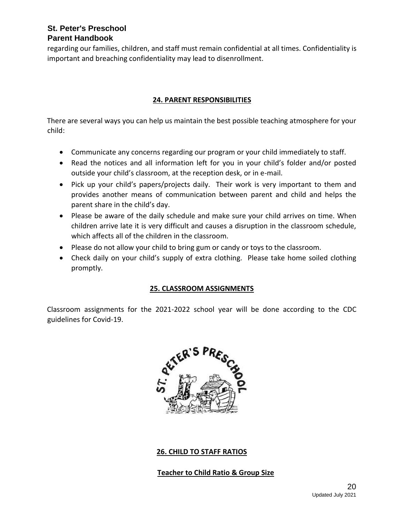regarding our families, children, and staff must remain confidential at all times. Confidentiality is important and breaching confidentiality may lead to disenrollment.

## **24. PARENT RESPONSIBILITIES**

There are several ways you can help us maintain the best possible teaching atmosphere for your child:

- Communicate any concerns regarding our program or your child immediately to staff.
- Read the notices and all information left for you in your child's folder and/or posted outside your child's classroom, at the reception desk, or in e-mail.
- Pick up your child's papers/projects daily. Their work is very important to them and provides another means of communication between parent and child and helps the parent share in the child's day.
- Please be aware of the daily schedule and make sure your child arrives on time. When children arrive late it is very difficult and causes a disruption in the classroom schedule, which affects all of the children in the classroom.
- Please do not allow your child to bring gum or candy or toys to the classroom.
- Check daily on your child's supply of extra clothing. Please take home soiled clothing promptly.

#### **25. CLASSROOM ASSIGNMENTS**

Classroom assignments for the 2021-2022 school year will be done according to the CDC guidelines for Covid-19.



#### **26. CHILD TO STAFF RATIOS**

#### **Teacher to Child Ratio & Group Size**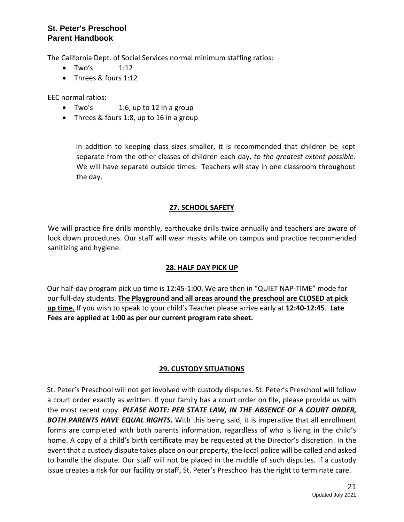The California Dept. of Social Services normal minimum staffing ratios:

- $\bullet$  Two's  $1:12$
- Threes & fours 1:12

EEC normal ratios:

- Two's 1:6, up to 12 in a group
- Threes & fours 1:8, up to 16 in a group

In addition to keeping class sizes smaller, it is recommended that children be kept separate from the other classes of children each day, *to the greatest extent possible.*  We will have separate outside times. Teachers will stay in one classroom throughout the day.

#### **27. SCHOOL SAFETY**

We will practice fire drills monthly, earthquake drills twice annually and teachers are aware of lock down procedures. Our staff will wear masks while on campus and practice recommended sanitizing and hygiene.

#### **28. HALF DAY PICK UP**

Our half-day program pick up time is 12:45-1:00. We are then in "QUIET NAP-TIME" mode for our full-day students. **The Playground and all areas around the preschool are CLOSED at pick up time.** If you wish to speak to your child's Teacher please arrive early at **12:40-12:45**. **Late Fees are applied at 1:00 as per our current program rate sheet.** 

#### **29. CUSTODY SITUATIONS**

St. Peter's Preschool will not get involved with custody disputes. St. Peter's Preschool will follow a court order exactly as written. If your family has a court order on file, please provide us with the most recent copy. *PLEASE NOTE: PER STATE LAW, IN THE ABSENCE OF A COURT ORDER, BOTH PARENTS HAVE EQUAL RIGHTS.* With this being said, it is imperative that all enrollment forms are completed with both parents information, regardless of who is living in the child's home. A copy of a child's birth certificate may be requested at the Director's discretion. In the event that a custody dispute takes place on our property, the local police will be called and asked to handle the dispute. Our staff will not be placed in the middle of such disputes. If a custody issue creates a risk for our facility or staff, St. Peter's Preschool has the right to terminate care.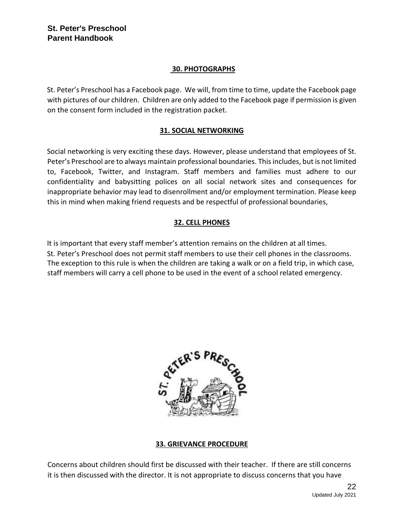#### **30. PHOTOGRAPHS**

St. Peter's Preschool has a Facebook page. We will, from time to time, update the Facebook page with pictures of our children. Children are only added to the Facebook page if permission is given on the consent form included in the registration packet.

#### **31. SOCIAL NETWORKING**

Social networking is very exciting these days. However, please understand that employees of St. Peter's Preschool are to always maintain professional boundaries. This includes, but is not limited to, Facebook, Twitter, and Instagram. Staff members and families must adhere to our confidentiality and babysitting polices on all social network sites and consequences for inappropriate behavior may lead to disenrollment and/or employment termination. Please keep this in mind when making friend requests and be respectful of professional boundaries,

## **32. CELL PHONES**

It is important that every staff member's attention remains on the children at all times. St. Peter's Preschool does not permit staff members to use their cell phones in the classrooms. The exception to this rule is when the children are taking a walk or on a field trip, in which case, staff members will carry a cell phone to be used in the event of a school related emergency.



#### **33. GRIEVANCE PROCEDURE**

Concerns about children should first be discussed with their teacher. If there are still concerns it is then discussed with the director. It is not appropriate to discuss concerns that you have